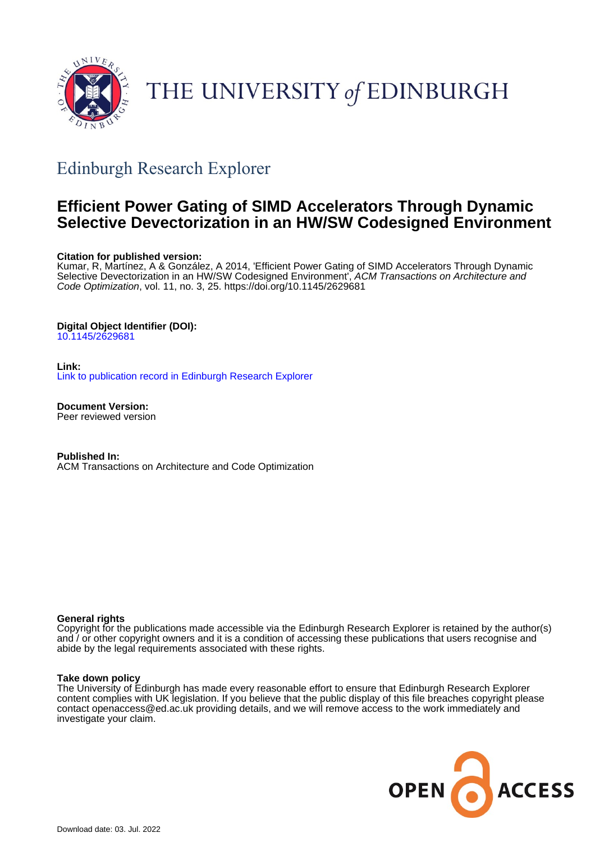

# THE UNIVERSITY of EDINBURGH

# Edinburgh Research Explorer

# **Efficient Power Gating of SIMD Accelerators Through Dynamic Selective Devectorization in an HW/SW Codesigned Environment**

# **Citation for published version:**

Kumar, R, Martínez, A & González, A 2014, 'Efficient Power Gating of SIMD Accelerators Through Dynamic Selective Devectorization in an HW/SW Codesigned Environment', ACM Transactions on Architecture and Code Optimization, vol. 11, no. 3, 25.<https://doi.org/10.1145/2629681>

# **Digital Object Identifier (DOI):**

[10.1145/2629681](https://doi.org/10.1145/2629681)

**Link:**

[Link to publication record in Edinburgh Research Explorer](https://www.research.ed.ac.uk/en/publications/03b126e4-5819-48b3-8c09-80101b3001f7)

**Document Version:** Peer reviewed version

**Published In:** ACM Transactions on Architecture and Code Optimization

# **General rights**

Copyright for the publications made accessible via the Edinburgh Research Explorer is retained by the author(s) and / or other copyright owners and it is a condition of accessing these publications that users recognise and abide by the legal requirements associated with these rights.

# **Take down policy**

The University of Edinburgh has made every reasonable effort to ensure that Edinburgh Research Explorer content complies with UK legislation. If you believe that the public display of this file breaches copyright please contact openaccess@ed.ac.uk providing details, and we will remove access to the work immediately and investigate your claim.

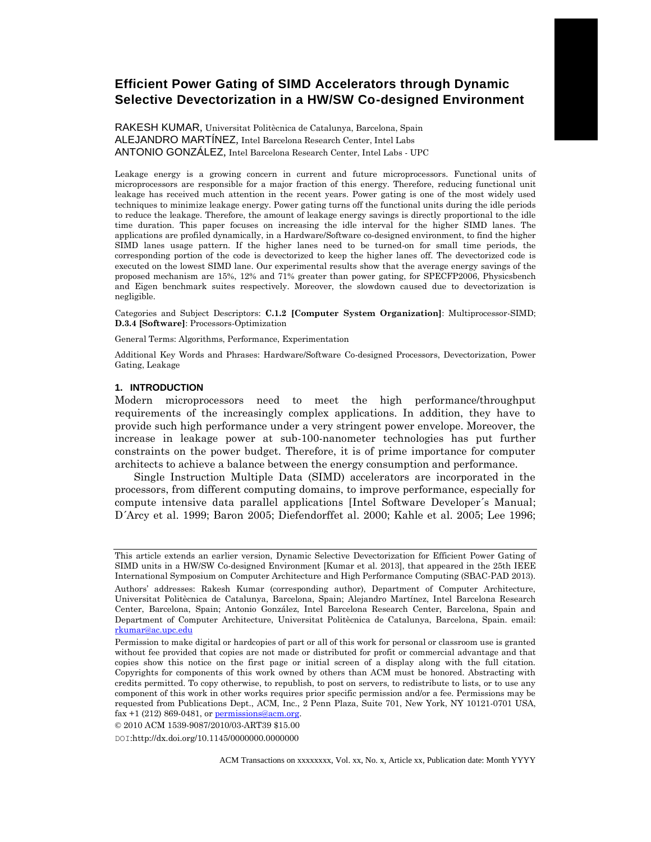# **Efficient Power Gating of SIMD Accelerators through Dynamic Selective Devectorization in a HW/SW Co-designed Environment**

RAKESH KUMAR, Universitat Politècnica de Catalunya, Barcelona, Spain ALEJANDRO MARTÍNEZ, Intel Barcelona Research Center, Intel Labs ANTONIO GONZÁLEZ, Intel Barcelona Research Center, Intel Labs - UPC

Leakage energy is a growing concern in current and future microprocessors. Functional units of microprocessors are responsible for a major fraction of this energy. Therefore, reducing functional unit leakage has received much attention in the recent years. Power gating is one of the most widely used techniques to minimize leakage energy. Power gating turns off the functional units during the idle periods to reduce the leakage. Therefore, the amount of leakage energy savings is directly proportional to the idle time duration. This paper focuses on increasing the idle interval for the higher SIMD lanes. The applications are profiled dynamically, in a Hardware/Software co-designed environment, to find the higher SIMD lanes usage pattern. If the higher lanes need to be turned-on for small time periods, the corresponding portion of the code is devectorized to keep the higher lanes off. The devectorized code is executed on the lowest SIMD lane. Our experimental results show that the average energy savings of the proposed mechanism are 15%, 12% and 71% greater than power gating, for SPECFP2006, Physicsbench and Eigen benchmark suites respectively. Moreover, the slowdown caused due to devectorization is negligible.

Categories and Subject Descriptors: **C.1.2 [Computer System Organization]**: Multiprocessor-SIMD; **D.3.4 [Software]**: Processors-Optimization

General Terms: Algorithms, Performance, Experimentation

Additional Key Words and Phrases: Hardware/Software Co-designed Processors, Devectorization, Power Gating, Leakage

#### **1. INTRODUCTION**

Modern microprocessors need to meet the high performance/throughput requirements of the increasingly complex applications. In addition, they have to provide such high performance under a very stringent power envelope. Moreover, the increase in leakage power at sub-100-nanometer technologies has put further constraints on the power budget. Therefore, it is of prime importance for computer architects to achieve a balance between the energy consumption and performance.

Single Instruction Multiple Data (SIMD) accelerators are incorporated in the processors, from different computing domains, to improve performance, especially for compute intensive data parallel applications [Intel Software Developer´s Manual; D´Arcy et al. 1999; Baron 2005; Diefendorffet al. 2000; Kahle et al. 2005; Lee 1996;

© 2010 ACM 1539-9087/2010/03-ART39 \$15.00

DOI:http://dx.doi.org/10.1145/0000000.0000000

ACM Transactions on xxxxxxxx, Vol. xx, No. x, Article xx, Publication date: Month YYYY

This article extends an earlier version, Dynamic Selective Devectorization for Efficient Power Gating of SIMD units in a HW/SW Co-designed Environment [Kumar et al. 2013], that appeared in the 25th IEEE International Symposium on Computer Architecture and High Performance Computing (SBAC-PAD 2013).

Authors' addresses: Rakesh Kumar (corresponding author), Department of Computer Architecture, Universitat Politècnica de Catalunya, Barcelona, Spain; Alejandro Martínez, Intel Barcelona Research Center, Barcelona, Spain; Antonio González, Intel Barcelona Research Center, Barcelona, Spain and Department of Computer Architecture, Universitat Politècnica de Catalunya, Barcelona, Spain. email: [rkumar@ac.upc.edu](mailto:rkumar@ac.upc.edu)

Permission to make digital or hardcopies of part or all of this work for personal or classroom use is granted without fee provided that copies are not made or distributed for profit or commercial advantage and that copies show this notice on the first page or initial screen of a display along with the full citation. Copyrights for components of this work owned by others than ACM must be honored. Abstracting with credits permitted. To copy otherwise, to republish, to post on servers, to redistribute to lists, or to use any component of this work in other works requires prior specific permission and/or a fee. Permissions may be requested from Publications Dept., ACM, Inc., 2 Penn Plaza, Suite 701, New York, NY 10121-0701 USA, fax +1 (212) 869-0481, o[r permissions@acm.org.](mailto:permissions@acm.org)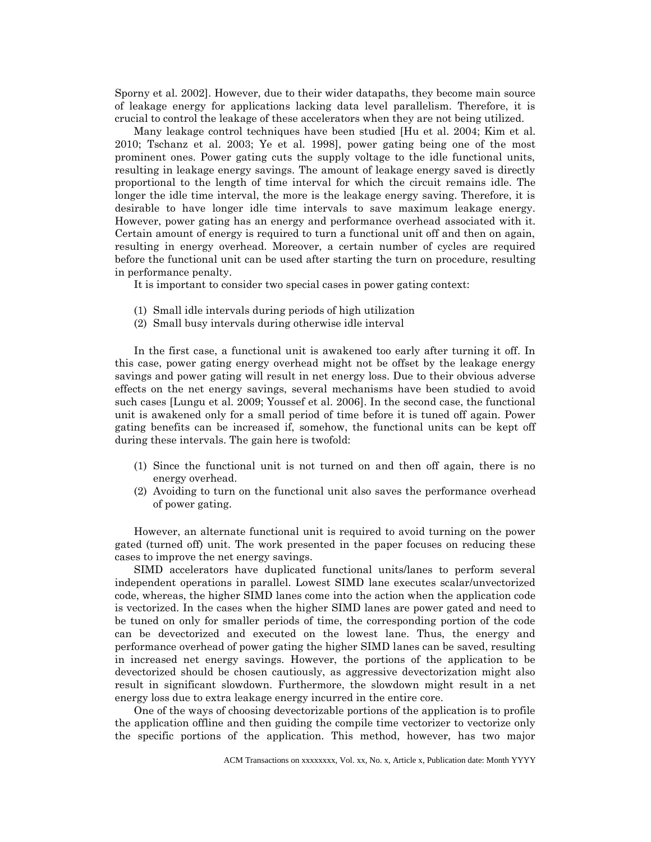Sporny et al. 2002]. However, due to their wider datapaths, they become main source of leakage energy for applications lacking data level parallelism. Therefore, it is crucial to control the leakage of these accelerators when they are not being utilized.

Many leakage control techniques have been studied [Hu et al. 2004; Kim et al. 2010; Tschanz et al. 2003; Ye et al. 1998], power gating being one of the most prominent ones. Power gating cuts the supply voltage to the idle functional units, resulting in leakage energy savings. The amount of leakage energy saved is directly proportional to the length of time interval for which the circuit remains idle. The longer the idle time interval, the more is the leakage energy saving. Therefore, it is desirable to have longer idle time intervals to save maximum leakage energy. However, power gating has an energy and performance overhead associated with it. Certain amount of energy is required to turn a functional unit off and then on again, resulting in energy overhead. Moreover, a certain number of cycles are required before the functional unit can be used after starting the turn on procedure, resulting in performance penalty.

It is important to consider two special cases in power gating context:

- (1) Small idle intervals during periods of high utilization
- (2) Small busy intervals during otherwise idle interval

In the first case, a functional unit is awakened too early after turning it off. In this case, power gating energy overhead might not be offset by the leakage energy savings and power gating will result in net energy loss. Due to their obvious adverse effects on the net energy savings, several mechanisms have been studied to avoid such cases [Lungu et al. 2009; Youssef et al. 2006]. In the second case, the functional unit is awakened only for a small period of time before it is tuned off again. Power gating benefits can be increased if, somehow, the functional units can be kept off during these intervals. The gain here is twofold:

- (1) Since the functional unit is not turned on and then off again, there is no energy overhead.
- (2) Avoiding to turn on the functional unit also saves the performance overhead of power gating.

However, an alternate functional unit is required to avoid turning on the power gated (turned off) unit. The work presented in the paper focuses on reducing these cases to improve the net energy savings.

SIMD accelerators have duplicated functional units/lanes to perform several independent operations in parallel. Lowest SIMD lane executes scalar/unvectorized code, whereas, the higher SIMD lanes come into the action when the application code is vectorized. In the cases when the higher SIMD lanes are power gated and need to be tuned on only for smaller periods of time, the corresponding portion of the code can be devectorized and executed on the lowest lane. Thus, the energy and performance overhead of power gating the higher SIMD lanes can be saved, resulting in increased net energy savings. However, the portions of the application to be devectorized should be chosen cautiously, as aggressive devectorization might also result in significant slowdown. Furthermore, the slowdown might result in a net energy loss due to extra leakage energy incurred in the entire core.

One of the ways of choosing devectorizable portions of the application is to profile the application offline and then guiding the compile time vectorizer to vectorize only the specific portions of the application. This method, however, has two major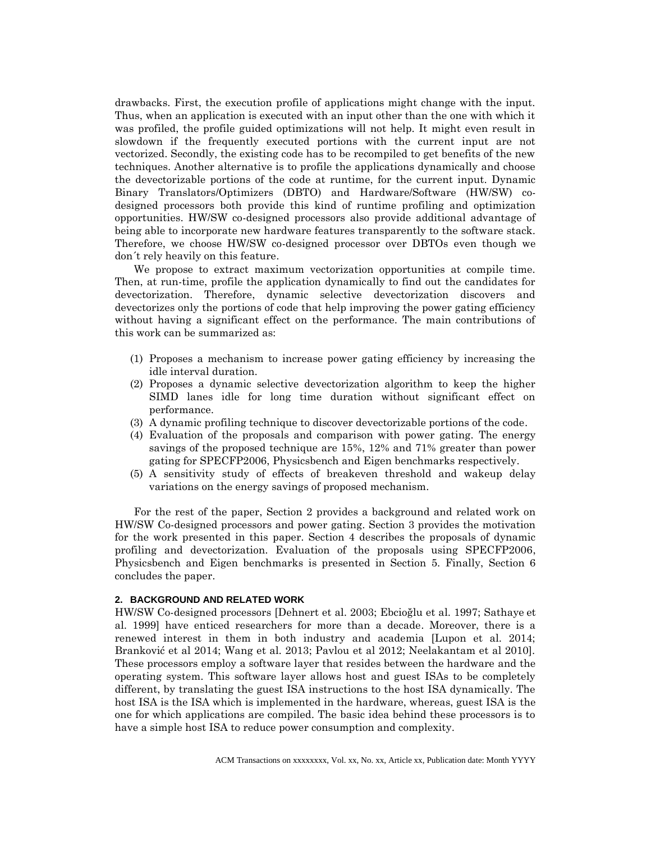drawbacks. First, the execution profile of applications might change with the input. Thus, when an application is executed with an input other than the one with which it was profiled, the profile guided optimizations will not help. It might even result in slowdown if the frequently executed portions with the current input are not vectorized. Secondly, the existing code has to be recompiled to get benefits of the new techniques. Another alternative is to profile the applications dynamically and choose the devectorizable portions of the code at runtime, for the current input. Dynamic Binary Translators/Optimizers (DBTO) and Hardware/Software (HW/SW) codesigned processors both provide this kind of runtime profiling and optimization opportunities. HW/SW co-designed processors also provide additional advantage of being able to incorporate new hardware features transparently to the software stack. Therefore, we choose HW/SW co-designed processor over DBTOs even though we don´t rely heavily on this feature.

We propose to extract maximum vectorization opportunities at compile time. Then, at run-time, profile the application dynamically to find out the candidates for devectorization. Therefore, dynamic selective devectorization discovers and devectorizes only the portions of code that help improving the power gating efficiency without having a significant effect on the performance. The main contributions of this work can be summarized as:

- (1) Proposes a mechanism to increase power gating efficiency by increasing the idle interval duration.
- (2) Proposes a dynamic selective devectorization algorithm to keep the higher SIMD lanes idle for long time duration without significant effect on performance.
- (3) A dynamic profiling technique to discover devectorizable portions of the code.
- (4) Evaluation of the proposals and comparison with power gating. The energy savings of the proposed technique are 15%, 12% and 71% greater than power gating for SPECFP2006, Physicsbench and Eigen benchmarks respectively.
- (5) A sensitivity study of effects of breakeven threshold and wakeup delay variations on the energy savings of proposed mechanism.

For the rest of the paper, Section 2 provides a background and related work on HW/SW Co-designed processors and power gating. Section 3 provides the motivation for the work presented in this paper. Section 4 describes the proposals of dynamic profiling and devectorization. Evaluation of the proposals using SPECFP2006, Physicsbench and Eigen benchmarks is presented in Section 5. Finally, Section 6 concludes the paper.

#### **2. BACKGROUND AND RELATED WORK**

HW/SW Co-designed processors [Dehnert et al. 2003; Ebcioğlu et al. 1997; Sathaye et al. 1999] have enticed researchers for more than a decade. Moreover, there is a renewed interest in them in both industry and academia [Lupon et al. 2014; Branković et al 2014; Wang et al. 2013; Pavlou et al 2012; Neelakantam et al 2010]. These processors employ a software layer that resides between the hardware and the operating system. This software layer allows host and guest ISAs to be completely different, by translating the guest ISA instructions to the host ISA dynamically. The host ISA is the ISA which is implemented in the hardware, whereas, guest ISA is the one for which applications are compiled. The basic idea behind these processors is to have a simple host ISA to reduce power consumption and complexity.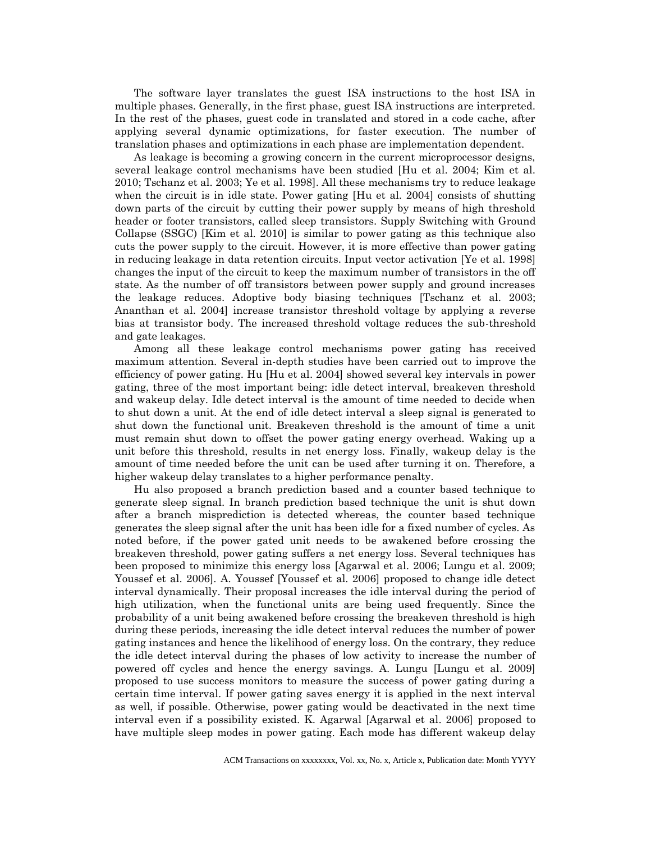The software layer translates the guest ISA instructions to the host ISA in multiple phases. Generally, in the first phase, guest ISA instructions are interpreted. In the rest of the phases, guest code in translated and stored in a code cache, after applying several dynamic optimizations, for faster execution. The number of translation phases and optimizations in each phase are implementation dependent.

As leakage is becoming a growing concern in the current microprocessor designs, several leakage control mechanisms have been studied [Hu et al. 2004; Kim et al. 2010; Tschanz et al. 2003; Ye et al. 1998]. All these mechanisms try to reduce leakage when the circuit is in idle state. Power gating [Hu et al. 2004] consists of shutting down parts of the circuit by cutting their power supply by means of high threshold header or footer transistors, called sleep transistors. Supply Switching with Ground Collapse (SSGC) [Kim et al. 2010] is similar to power gating as this technique also cuts the power supply to the circuit. However, it is more effective than power gating in reducing leakage in data retention circuits. Input vector activation [Ye et al. 1998] changes the input of the circuit to keep the maximum number of transistors in the off state. As the number of off transistors between power supply and ground increases the leakage reduces. Adoptive body biasing techniques [Tschanz et al. 2003; Ananthan et al. 2004] increase transistor threshold voltage by applying a reverse bias at transistor body. The increased threshold voltage reduces the sub-threshold and gate leakages.

Among all these leakage control mechanisms power gating has received maximum attention. Several in-depth studies have been carried out to improve the efficiency of power gating. Hu [Hu et al. 2004] showed several key intervals in power gating, three of the most important being: idle detect interval, breakeven threshold and wakeup delay. Idle detect interval is the amount of time needed to decide when to shut down a unit. At the end of idle detect interval a sleep signal is generated to shut down the functional unit. Breakeven threshold is the amount of time a unit must remain shut down to offset the power gating energy overhead. Waking up a unit before this threshold, results in net energy loss. Finally, wakeup delay is the amount of time needed before the unit can be used after turning it on. Therefore, a higher wakeup delay translates to a higher performance penalty.

Hu also proposed a branch prediction based and a counter based technique to generate sleep signal. In branch prediction based technique the unit is shut down after a branch misprediction is detected whereas, the counter based technique generates the sleep signal after the unit has been idle for a fixed number of cycles. As noted before, if the power gated unit needs to be awakened before crossing the breakeven threshold, power gating suffers a net energy loss. Several techniques has been proposed to minimize this energy loss [Agarwal et al. 2006; Lungu et al. 2009; Youssef et al. 2006]. A. Youssef [Youssef et al. 2006] proposed to change idle detect interval dynamically. Their proposal increases the idle interval during the period of high utilization, when the functional units are being used frequently. Since the probability of a unit being awakened before crossing the breakeven threshold is high during these periods, increasing the idle detect interval reduces the number of power gating instances and hence the likelihood of energy loss. On the contrary, they reduce the idle detect interval during the phases of low activity to increase the number of powered off cycles and hence the energy savings. A. Lungu [Lungu et al. 2009] proposed to use success monitors to measure the success of power gating during a certain time interval. If power gating saves energy it is applied in the next interval as well, if possible. Otherwise, power gating would be deactivated in the next time interval even if a possibility existed. K. Agarwal [Agarwal et al. 2006] proposed to have multiple sleep modes in power gating. Each mode has different wakeup delay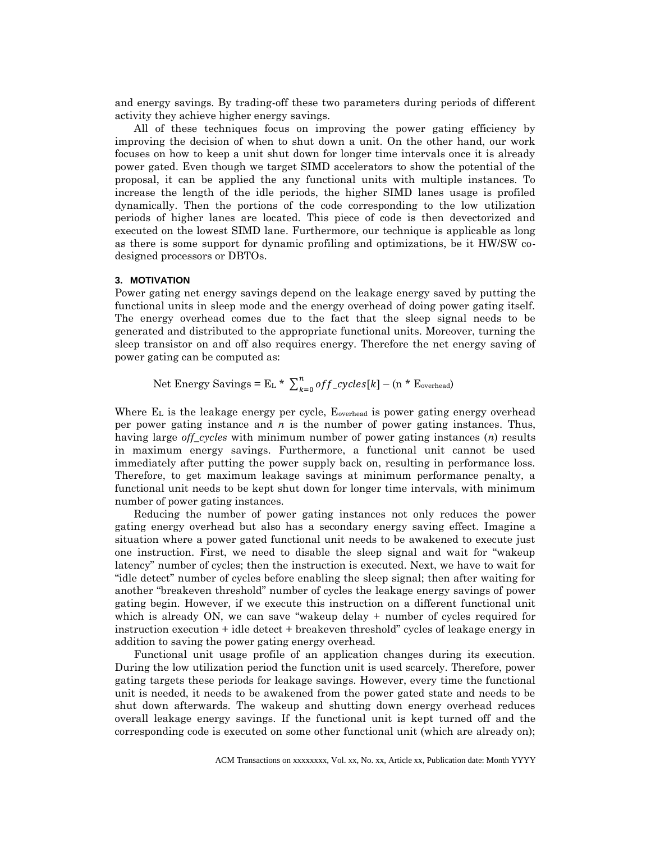and energy savings. By trading-off these two parameters during periods of different activity they achieve higher energy savings.

All of these techniques focus on improving the power gating efficiency by improving the decision of when to shut down a unit. On the other hand, our work focuses on how to keep a unit shut down for longer time intervals once it is already power gated. Even though we target SIMD accelerators to show the potential of the proposal, it can be applied the any functional units with multiple instances. To increase the length of the idle periods, the higher SIMD lanes usage is profiled dynamically. Then the portions of the code corresponding to the low utilization periods of higher lanes are located. This piece of code is then devectorized and executed on the lowest SIMD lane. Furthermore, our technique is applicable as long as there is some support for dynamic profiling and optimizations, be it HW/SW codesigned processors or DBTOs.

#### **3. MOTIVATION**

Power gating net energy savings depend on the leakage energy saved by putting the functional units in sleep mode and the energy overhead of doing power gating itself. The energy overhead comes due to the fact that the sleep signal needs to be generated and distributed to the appropriate functional units. Moreover, turning the sleep transistor on and off also requires energy. Therefore the net energy saving of power gating can be computed as:

Net Energy Savings =  $E_L * \sum_{k=0}^{n} off\_cycles[k]$  $_{k=0}^{n}$  of f\_cycles [k] – (n \* E<sub>overhead</sub>)

Where E<sub>L</sub> is the leakage energy per cycle, E<sub>overhead</sub> is power gating energy overhead per power gating instance and *n* is the number of power gating instances. Thus, having large *off\_cycles* with minimum number of power gating instances (*n*) results in maximum energy savings. Furthermore, a functional unit cannot be used immediately after putting the power supply back on, resulting in performance loss. Therefore, to get maximum leakage savings at minimum performance penalty, a functional unit needs to be kept shut down for longer time intervals, with minimum number of power gating instances.

Reducing the number of power gating instances not only reduces the power gating energy overhead but also has a secondary energy saving effect. Imagine a situation where a power gated functional unit needs to be awakened to execute just one instruction. First, we need to disable the sleep signal and wait for "wakeup latency" number of cycles; then the instruction is executed. Next, we have to wait for "idle detect" number of cycles before enabling the sleep signal; then after waiting for another "breakeven threshold" number of cycles the leakage energy savings of power gating begin. However, if we execute this instruction on a different functional unit which is already ON, we can save "wakeup delay + number of cycles required for instruction execution + idle detect + breakeven threshold" cycles of leakage energy in addition to saving the power gating energy overhead.

Functional unit usage profile of an application changes during its execution. During the low utilization period the function unit is used scarcely. Therefore, power gating targets these periods for leakage savings. However, every time the functional unit is needed, it needs to be awakened from the power gated state and needs to be shut down afterwards. The wakeup and shutting down energy overhead reduces overall leakage energy savings. If the functional unit is kept turned off and the corresponding code is executed on some other functional unit (which are already on);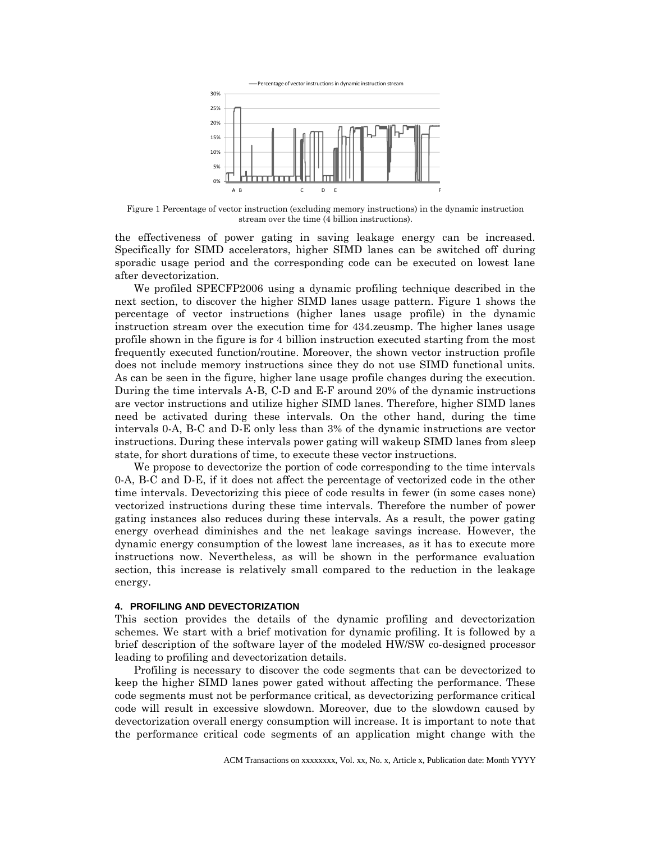

Figure 1 Percentage of vector instruction (excluding memory instructions) in the dynamic instruction stream over the time (4 billion instructions).

the effectiveness of power gating in saving leakage energy can be increased. Specifically for SIMD accelerators, higher SIMD lanes can be switched off during sporadic usage period and the corresponding code can be executed on lowest lane after devectorization.

We profiled SPECFP2006 using a dynamic profiling technique described in the next section, to discover the higher SIMD lanes usage pattern. Figure 1 shows the percentage of vector instructions (higher lanes usage profile) in the dynamic instruction stream over the execution time for 434.zeusmp. The higher lanes usage profile shown in the figure is for 4 billion instruction executed starting from the most frequently executed function/routine. Moreover, the shown vector instruction profile does not include memory instructions since they do not use SIMD functional units. As can be seen in the figure, higher lane usage profile changes during the execution. During the time intervals A-B, C-D and E-F around 20% of the dynamic instructions are vector instructions and utilize higher SIMD lanes. Therefore, higher SIMD lanes need be activated during these intervals. On the other hand, during the time intervals 0-A, B-C and D-E only less than 3% of the dynamic instructions are vector instructions. During these intervals power gating will wakeup SIMD lanes from sleep state, for short durations of time, to execute these vector instructions.

We propose to devectorize the portion of code corresponding to the time intervals 0-A, B-C and D-E, if it does not affect the percentage of vectorized code in the other time intervals. Devectorizing this piece of code results in fewer (in some cases none) vectorized instructions during these time intervals. Therefore the number of power gating instances also reduces during these intervals. As a result, the power gating energy overhead diminishes and the net leakage savings increase. However, the dynamic energy consumption of the lowest lane increases, as it has to execute more instructions now. Nevertheless, as will be shown in the performance evaluation section, this increase is relatively small compared to the reduction in the leakage energy.

#### **4. PROFILING AND DEVECTORIZATION**

This section provides the details of the dynamic profiling and devectorization schemes. We start with a brief motivation for dynamic profiling. It is followed by a brief description of the software layer of the modeled HW/SW co-designed processor leading to profiling and devectorization details.

Profiling is necessary to discover the code segments that can be devectorized to keep the higher SIMD lanes power gated without affecting the performance. These code segments must not be performance critical, as devectorizing performance critical code will result in excessive slowdown. Moreover, due to the slowdown caused by devectorization overall energy consumption will increase. It is important to note that the performance critical code segments of an application might change with the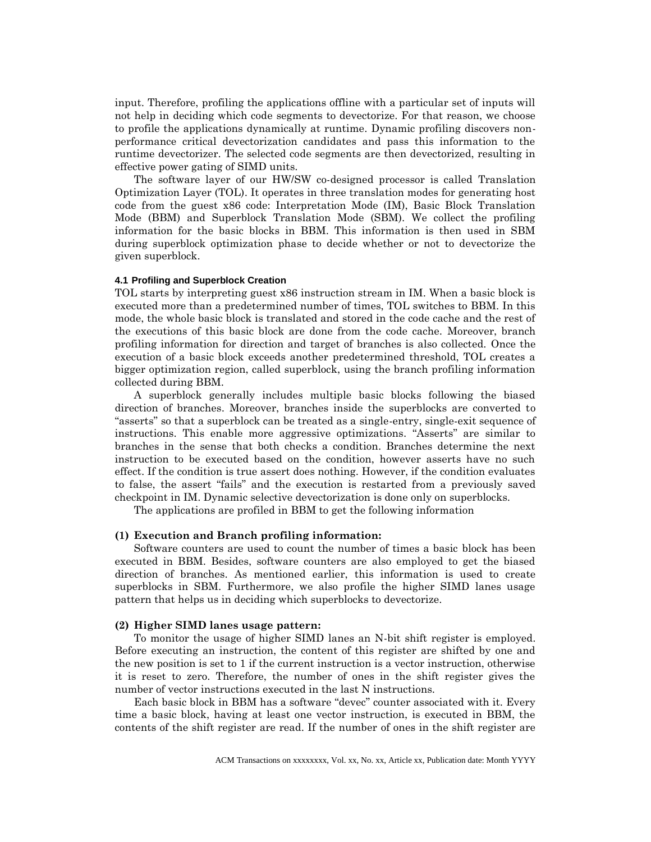input. Therefore, profiling the applications offline with a particular set of inputs will not help in deciding which code segments to devectorize. For that reason, we choose to profile the applications dynamically at runtime. Dynamic profiling discovers nonperformance critical devectorization candidates and pass this information to the runtime devectorizer. The selected code segments are then devectorized, resulting in effective power gating of SIMD units.

The software layer of our HW/SW co-designed processor is called Translation Optimization Layer (TOL). It operates in three translation modes for generating host code from the guest x86 code: Interpretation Mode (IM), Basic Block Translation Mode (BBM) and Superblock Translation Mode (SBM). We collect the profiling information for the basic blocks in BBM. This information is then used in SBM during superblock optimization phase to decide whether or not to devectorize the given superblock.

#### **4.1 Profiling and Superblock Creation**

TOL starts by interpreting guest x86 instruction stream in IM. When a basic block is executed more than a predetermined number of times, TOL switches to BBM. In this mode, the whole basic block is translated and stored in the code cache and the rest of the executions of this basic block are done from the code cache. Moreover, branch profiling information for direction and target of branches is also collected. Once the execution of a basic block exceeds another predetermined threshold, TOL creates a bigger optimization region, called superblock, using the branch profiling information collected during BBM.

A superblock generally includes multiple basic blocks following the biased direction of branches. Moreover, branches inside the superblocks are converted to "asserts" so that a superblock can be treated as a single-entry, single-exit sequence of instructions. This enable more aggressive optimizations. "Asserts" are similar to branches in the sense that both checks a condition. Branches determine the next instruction to be executed based on the condition, however asserts have no such effect. If the condition is true assert does nothing. However, if the condition evaluates to false, the assert "fails" and the execution is restarted from a previously saved checkpoint in IM. Dynamic selective devectorization is done only on superblocks.

The applications are profiled in BBM to get the following information

#### **(1) Execution and Branch profiling information:**

Software counters are used to count the number of times a basic block has been executed in BBM. Besides, software counters are also employed to get the biased direction of branches. As mentioned earlier, this information is used to create superblocks in SBM. Furthermore, we also profile the higher SIMD lanes usage pattern that helps us in deciding which superblocks to devectorize.

#### **(2) Higher SIMD lanes usage pattern:**

To monitor the usage of higher SIMD lanes an N-bit shift register is employed. Before executing an instruction, the content of this register are shifted by one and the new position is set to 1 if the current instruction is a vector instruction, otherwise it is reset to zero. Therefore, the number of ones in the shift register gives the number of vector instructions executed in the last N instructions.

Each basic block in BBM has a software "devec" counter associated with it. Every time a basic block, having at least one vector instruction, is executed in BBM, the contents of the shift register are read. If the number of ones in the shift register are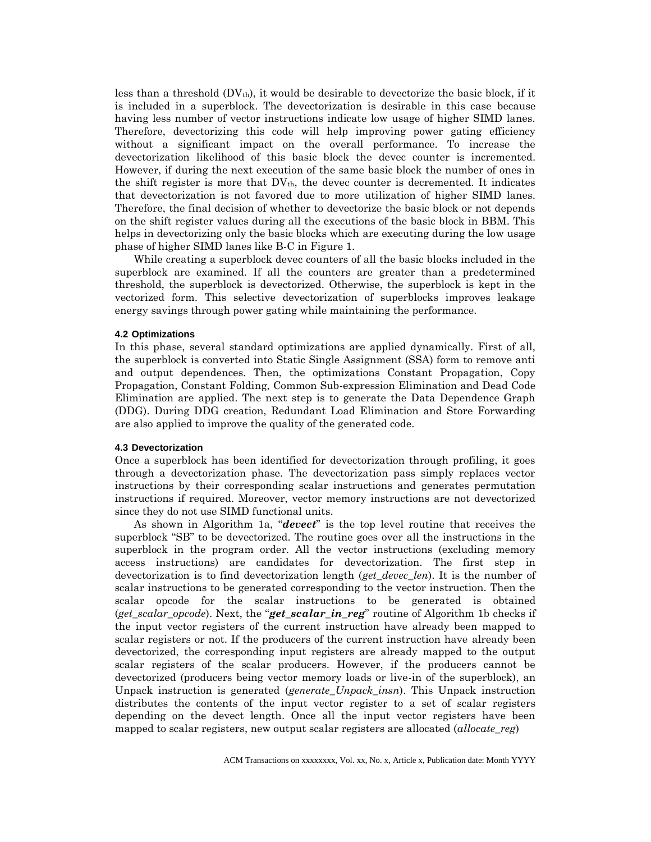less than a threshold  $(DV_{th})$ , it would be desirable to devectorize the basic block, if it is included in a superblock. The devectorization is desirable in this case because having less number of vector instructions indicate low usage of higher SIMD lanes. Therefore, devectorizing this code will help improving power gating efficiency without a significant impact on the overall performance. To increase the devectorization likelihood of this basic block the devec counter is incremented. However, if during the next execution of the same basic block the number of ones in the shift register is more that  $DV_{th}$ , the devec counter is decremented. It indicates that devectorization is not favored due to more utilization of higher SIMD lanes. Therefore, the final decision of whether to devectorize the basic block or not depends on the shift register values during all the executions of the basic block in BBM. This helps in devectorizing only the basic blocks which are executing during the low usage phase of higher SIMD lanes like B-C in Figure 1.

While creating a superblock devec counters of all the basic blocks included in the superblock are examined. If all the counters are greater than a predetermined threshold, the superblock is devectorized. Otherwise, the superblock is kept in the vectorized form. This selective devectorization of superblocks improves leakage energy savings through power gating while maintaining the performance.

#### **4.2 Optimizations**

In this phase, several standard optimizations are applied dynamically. First of all, the superblock is converted into Static Single Assignment (SSA) form to remove anti and output dependences. Then, the optimizations Constant Propagation, Copy Propagation, Constant Folding, Common Sub-expression Elimination and Dead Code Elimination are applied. The next step is to generate the Data Dependence Graph (DDG). During DDG creation, Redundant Load Elimination and Store Forwarding are also applied to improve the quality of the generated code.

#### **4.3 Devectorization**

Once a superblock has been identified for devectorization through profiling, it goes through a devectorization phase. The devectorization pass simply replaces vector instructions by their corresponding scalar instructions and generates permutation instructions if required. Moreover, vector memory instructions are not devectorized since they do not use SIMD functional units.

As shown in Algorithm 1a, "*devect*" is the top level routine that receives the superblock "SB" to be devectorized. The routine goes over all the instructions in the superblock in the program order. All the vector instructions (excluding memory access instructions) are candidates for devectorization. The first step in devectorization is to find devectorization length (*get\_devec\_len*). It is the number of scalar instructions to be generated corresponding to the vector instruction. Then the scalar opcode for the scalar instructions to be generated is obtained (*get\_scalar\_opcode*). Next, the "*get\_scalar\_in\_reg*" routine of Algorithm 1b checks if the input vector registers of the current instruction have already been mapped to scalar registers or not. If the producers of the current instruction have already been devectorized, the corresponding input registers are already mapped to the output scalar registers of the scalar producers. However, if the producers cannot be devectorized (producers being vector memory loads or live-in of the superblock), an Unpack instruction is generated (*generate\_Unpack\_insn*). This Unpack instruction distributes the contents of the input vector register to a set of scalar registers depending on the devect length. Once all the input vector registers have been mapped to scalar registers, new output scalar registers are allocated (*allocate\_reg*)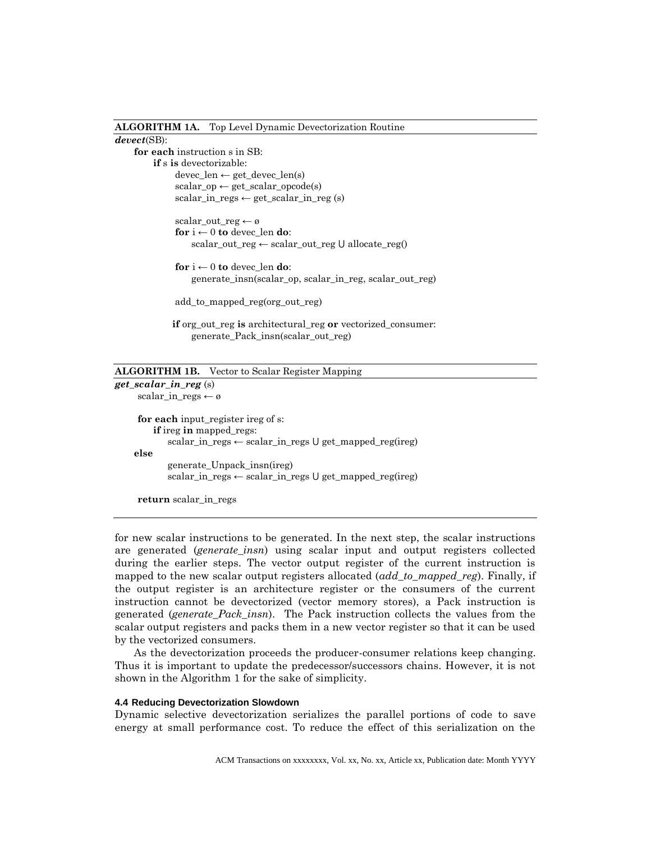#### **ALGORITHM 1A.** Top Level Dynamic Devectorization Routine

#### *devect*(SB):

**for each** instruction s in SB: **if** s **is** devectorizable: devec\_len ← get\_devec\_len(s)  $scalar\_op \leftarrow get\_scalar\_opcode(s)$  $scalar_in\_regs \leftarrow get\_scalar_in\_reg(s)$ 

> scalar\_out\_reg ← ø **for**  $i \leftarrow 0$  **to** devec\_len **do**: scalar\_out\_reg ← scalar\_out\_reg ∪ allocate\_reg()

**for**  $i \leftarrow 0$  **to** devec\_len **do**: generate\_insn(scalar\_op, scalar\_in\_reg, scalar\_out\_reg)

add\_to\_mapped\_reg(org\_out\_reg)

**if** org\_out\_reg **is** architectural\_reg **or** vectorized\_consumer: generate\_Pack\_insn(scalar\_out\_reg)

#### **ALGORITHM 1B.** Vector to Scalar Register Mapping

*get\_scalar\_in\_reg* (s) scalar\_in\_regs ← ø **for each** input\_register ireg of s: **if** ireg **in** mapped\_regs:  $scalar_in\_regs \leftarrow scalar_in\_regs \cup get\_mapped\_reg(ireg)$ **else** generate\_Unpack\_insn(ireg)  $scalar_in\_regs \leftarrow scalar_in\_regs \cup get\_mapped\_reg(ireg)$ 

**return** scalar\_in\_regs

for new scalar instructions to be generated. In the next step, the scalar instructions are generated (*generate\_insn*) using scalar input and output registers collected during the earlier steps. The vector output register of the current instruction is mapped to the new scalar output registers allocated (*add\_to\_mapped\_reg*). Finally, if the output register is an architecture register or the consumers of the current instruction cannot be devectorized (vector memory stores), a Pack instruction is generated (*generate\_Pack\_insn*). The Pack instruction collects the values from the scalar output registers and packs them in a new vector register so that it can be used by the vectorized consumers.

As the devectorization proceeds the producer-consumer relations keep changing. Thus it is important to update the predecessor/successors chains. However, it is not shown in the Algorithm 1 for the sake of simplicity.

#### **4.4 Reducing Devectorization Slowdown**

Dynamic selective devectorization serializes the parallel portions of code to save energy at small performance cost. To reduce the effect of this serialization on the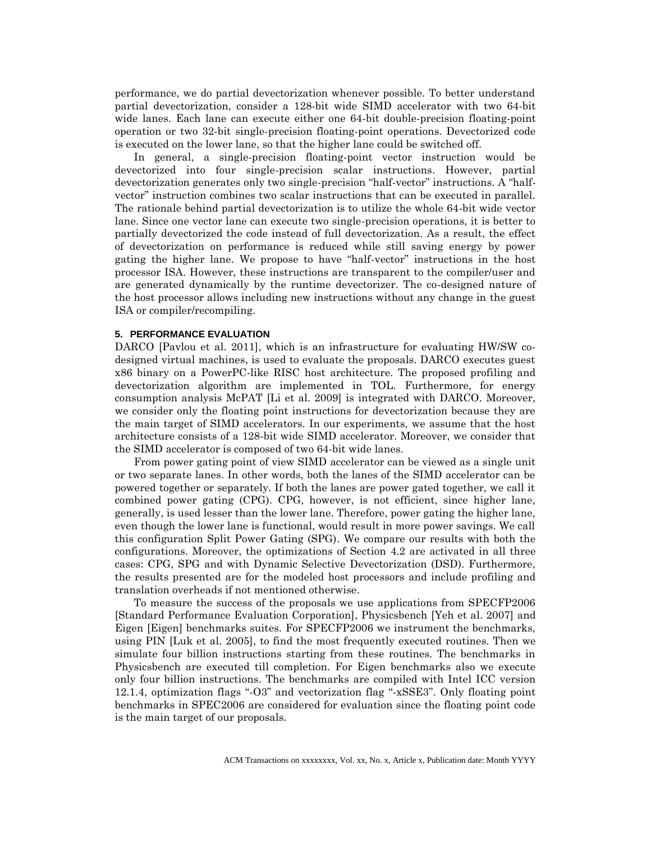performance, we do partial devectorization whenever possible. To better understand partial devectorization, consider a 128-bit wide SIMD accelerator with two 64-bit wide lanes. Each lane can execute either one 64-bit double-precision floating-point operation or two 32-bit single-precision floating-point operations. Devectorized code is executed on the lower lane, so that the higher lane could be switched off.

In general, a single-precision floating-point vector instruction would be devectorized into four single-precision scalar instructions. However, partial devectorization generates only two single-precision "half-vector" instructions. A "halfvector" instruction combines two scalar instructions that can be executed in parallel. The rationale behind partial devectorization is to utilize the whole 64-bit wide vector lane. Since one vector lane can execute two single-precision operations, it is better to partially devectorized the code instead of full devectorization. As a result, the effect of devectorization on performance is reduced while still saving energy by power gating the higher lane. We propose to have "half-vector" instructions in the host processor ISA. However, these instructions are transparent to the compiler/user and are generated dynamically by the runtime devectorizer. The co-designed nature of the host processor allows including new instructions without any change in the guest ISA or compiler/recompiling.

#### **5. PERFORMANCE EVALUATION**

DARCO [Pavlou et al. 2011], which is an infrastructure for evaluating HW/SW codesigned virtual machines, is used to evaluate the proposals. DARCO executes guest x86 binary on a PowerPC-like RISC host architecture. The proposed profiling and devectorization algorithm are implemented in TOL. Furthermore, for energy consumption analysis McPAT [Li et al. 2009] is integrated with DARCO. Moreover, we consider only the floating point instructions for devectorization because they are the main target of SIMD accelerators. In our experiments, we assume that the host architecture consists of a 128-bit wide SIMD accelerator. Moreover, we consider that the SIMD accelerator is composed of two 64-bit wide lanes.

From power gating point of view SIMD accelerator can be viewed as a single unit or two separate lanes. In other words, both the lanes of the SIMD accelerator can be powered together or separately. If both the lanes are power gated together, we call it combined power gating (CPG). CPG, however, is not efficient, since higher lane, generally, is used lesser than the lower lane. Therefore, power gating the higher lane, even though the lower lane is functional, would result in more power savings. We call this configuration Split Power Gating (SPG). We compare our results with both the configurations. Moreover, the optimizations of Section 4.2 are activated in all three cases: CPG, SPG and with Dynamic Selective Devectorization (DSD). Furthermore, the results presented are for the modeled host processors and include profiling and translation overheads if not mentioned otherwise.

To measure the success of the proposals we use applications from SPECFP2006 [Standard Performance Evaluation Corporation], Physicsbench [Yeh et al. 2007] and Eigen [Eigen] benchmarks suites. For SPECFP2006 we instrument the benchmarks, using PIN [Luk et al. 2005], to find the most frequently executed routines. Then we simulate four billion instructions starting from these routines. The benchmarks in Physicsbench are executed till completion. For Eigen benchmarks also we execute only four billion instructions. The benchmarks are compiled with Intel ICC version 12.1.4, optimization flags "-O3" and vectorization flag "-xSSE3". Only floating point benchmarks in SPEC2006 are considered for evaluation since the floating point code is the main target of our proposals.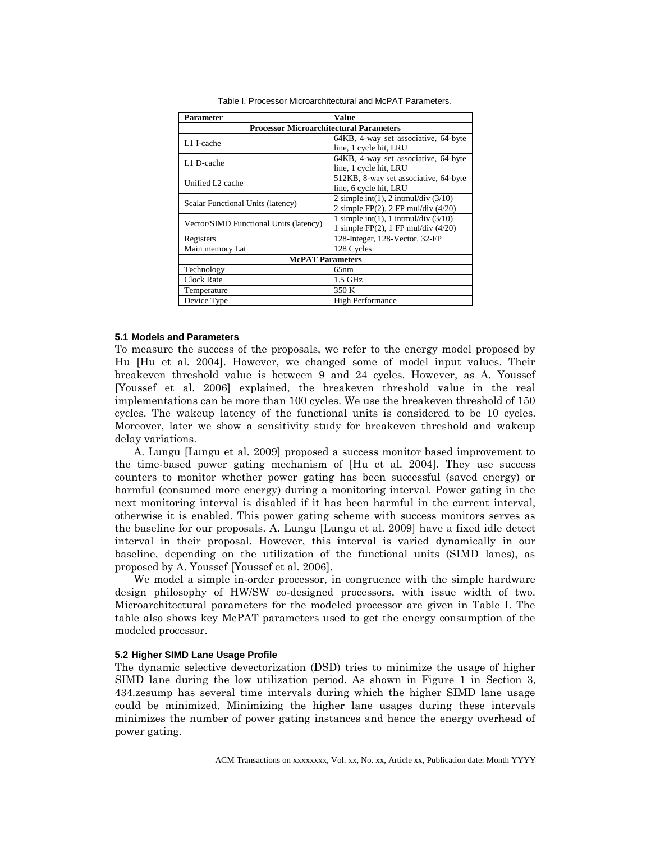| Parameter                                      | Value                                     |
|------------------------------------------------|-------------------------------------------|
| <b>Processor Microarchitectural Parameters</b> |                                           |
| L1 I-cache                                     | 64KB, 4-way set associative, 64-byte      |
|                                                | line, 1 cycle hit, LRU                    |
| L1 D-cache                                     | 64KB, 4-way set associative, 64-byte      |
|                                                | line, 1 cycle hit, LRU                    |
| Unified L <sub>2</sub> cache                   | 512KB, 8-way set associative, 64-byte     |
|                                                | line, 6 cycle hit, LRU                    |
| Scalar Functional Units (latency)              | 2 simple int(1), 2 intmul/div $(3/10)$    |
|                                                | 2 simple FP $(2)$ , 2 FP mul/div $(4/20)$ |
| Vector/SIMD Functional Units (latency)         | 1 simple int(1), 1 intmul/div $(3/10)$    |
|                                                | 1 simple FP $(2)$ , 1 FP mul/div $(4/20)$ |
| Registers                                      | 128-Integer, 128-Vector, 32-FP            |
| Main memory Lat                                | 128 Cycles                                |
| <b>McPAT</b> Parameters                        |                                           |
| Technology                                     | 65nm                                      |
| <b>Clock Rate</b>                              | 1.5 GHz                                   |
| Temperature                                    | 350 K                                     |
| Device Type                                    | <b>High Performance</b>                   |

Table I. Processor Microarchitectural and McPAT Parameters.

#### **5.1 Models and Parameters**

To measure the success of the proposals, we refer to the energy model proposed by Hu [Hu et al. 2004]. However, we changed some of model input values. Their breakeven threshold value is between 9 and 24 cycles. However, as A. Youssef [Youssef et al. 2006] explained, the breakeven threshold value in the real implementations can be more than 100 cycles. We use the breakeven threshold of 150 cycles. The wakeup latency of the functional units is considered to be 10 cycles. Moreover, later we show a sensitivity study for breakeven threshold and wakeup delay variations.

A. Lungu [Lungu et al. 2009] proposed a success monitor based improvement to the time-based power gating mechanism of [Hu et al. 2004]. They use success counters to monitor whether power gating has been successful (saved energy) or harmful (consumed more energy) during a monitoring interval. Power gating in the next monitoring interval is disabled if it has been harmful in the current interval, otherwise it is enabled. This power gating scheme with success monitors serves as the baseline for our proposals. A. Lungu [Lungu et al. 2009] have a fixed idle detect interval in their proposal. However, this interval is varied dynamically in our baseline, depending on the utilization of the functional units (SIMD lanes), as proposed by A. Youssef [Youssef et al. 2006].

We model a simple in-order processor, in congruence with the simple hardware design philosophy of HW/SW co-designed processors, with issue width of two. Microarchitectural parameters for the modeled processor are given in Table I. The table also shows key McPAT parameters used to get the energy consumption of the modeled processor.

#### **5.2 Higher SIMD Lane Usage Profile**

The dynamic selective devectorization (DSD) tries to minimize the usage of higher SIMD lane during the low utilization period. As shown in Figure 1 in Section 3, 434.zesump has several time intervals during which the higher SIMD lane usage could be minimized. Minimizing the higher lane usages during these intervals minimizes the number of power gating instances and hence the energy overhead of power gating.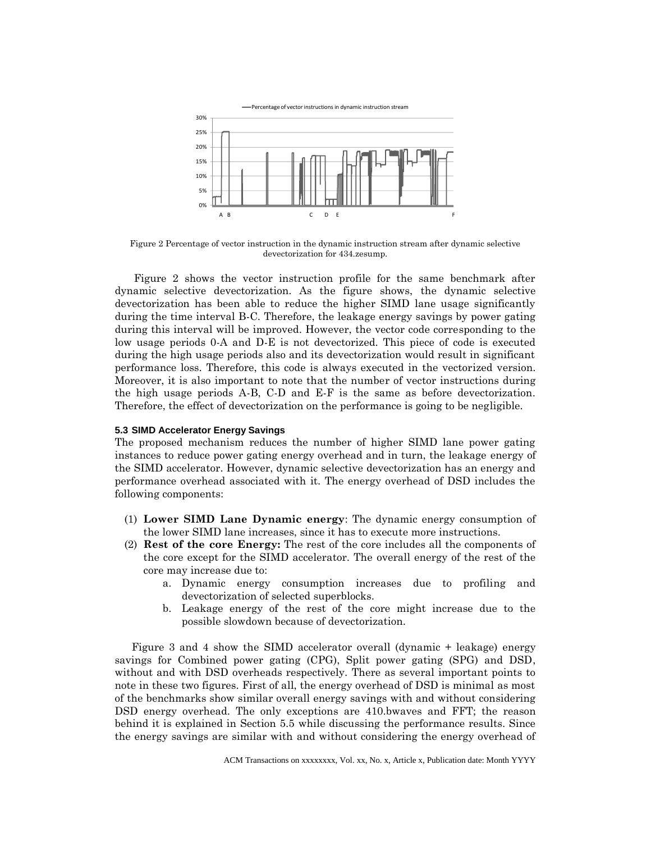

Figure 2 Percentage of vector instruction in the dynamic instruction stream after dynamic selective devectorization for 434.zesump.

Figure 2 shows the vector instruction profile for the same benchmark after dynamic selective devectorization. As the figure shows, the dynamic selective devectorization has been able to reduce the higher SIMD lane usage significantly during the time interval B-C. Therefore, the leakage energy savings by power gating during this interval will be improved. However, the vector code corresponding to the low usage periods 0-A and D-E is not devectorized. This piece of code is executed during the high usage periods also and its devectorization would result in significant performance loss. Therefore, this code is always executed in the vectorized version. Moreover, it is also important to note that the number of vector instructions during the high usage periods A-B, C-D and E-F is the same as before devectorization. Therefore, the effect of devectorization on the performance is going to be negligible.

#### **5.3 SIMD Accelerator Energy Savings**

The proposed mechanism reduces the number of higher SIMD lane power gating instances to reduce power gating energy overhead and in turn, the leakage energy of the SIMD accelerator. However, dynamic selective devectorization has an energy and performance overhead associated with it. The energy overhead of DSD includes the following components:

- (1) **Lower SIMD Lane Dynamic energy**: The dynamic energy consumption of the lower SIMD lane increases, since it has to execute more instructions.
- (2) **Rest of the core Energy:** The rest of the core includes all the components of the core except for the SIMD accelerator. The overall energy of the rest of the core may increase due to:
	- a. Dynamic energy consumption increases due to profiling and devectorization of selected superblocks.
	- b. Leakage energy of the rest of the core might increase due to the possible slowdown because of devectorization.

Figure 3 and 4 show the SIMD accelerator overall (dynamic + leakage) energy savings for Combined power gating (CPG), Split power gating (SPG) and DSD, without and with DSD overheads respectively. There as several important points to note in these two figures. First of all, the energy overhead of DSD is minimal as most of the benchmarks show similar overall energy savings with and without considering DSD energy overhead. The only exceptions are 410.bwaves and FFT; the reason behind it is explained in Section 5.5 while discussing the performance results. Since the energy savings are similar with and without considering the energy overhead of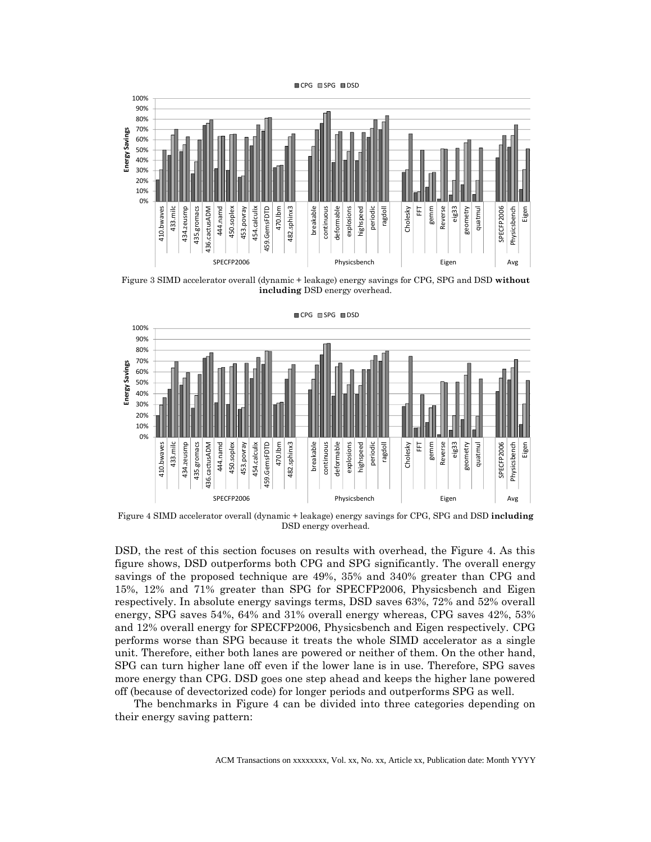



Figure 3 SIMD accelerator overall (dynamic + leakage) energy savings for CPG, SPG and DSD **without including** DSD energy overhead.



CPG SPG DSD

Figure 4 SIMD accelerator overall (dynamic + leakage) energy savings for CPG, SPG and DSD **including** DSD energy overhead.

DSD, the rest of this section focuses on results with overhead, the Figure 4. As this figure shows, DSD outperforms both CPG and SPG significantly. The overall energy savings of the proposed technique are 49%, 35% and 340% greater than CPG and 15%, 12% and 71% greater than SPG for SPECFP2006, Physicsbench and Eigen respectively. In absolute energy savings terms, DSD saves 63%, 72% and 52% overall energy, SPG saves 54%, 64% and 31% overall energy whereas, CPG saves 42%, 53% and 12% overall energy for SPECFP2006, Physicsbench and Eigen respectively. CPG performs worse than SPG because it treats the whole SIMD accelerator as a single unit. Therefore, either both lanes are powered or neither of them. On the other hand, SPG can turn higher lane off even if the lower lane is in use. Therefore, SPG saves more energy than CPG. DSD goes one step ahead and keeps the higher lane powered off (because of devectorized code) for longer periods and outperforms SPG as well.

The benchmarks in Figure 4 can be divided into three categories depending on their energy saving pattern: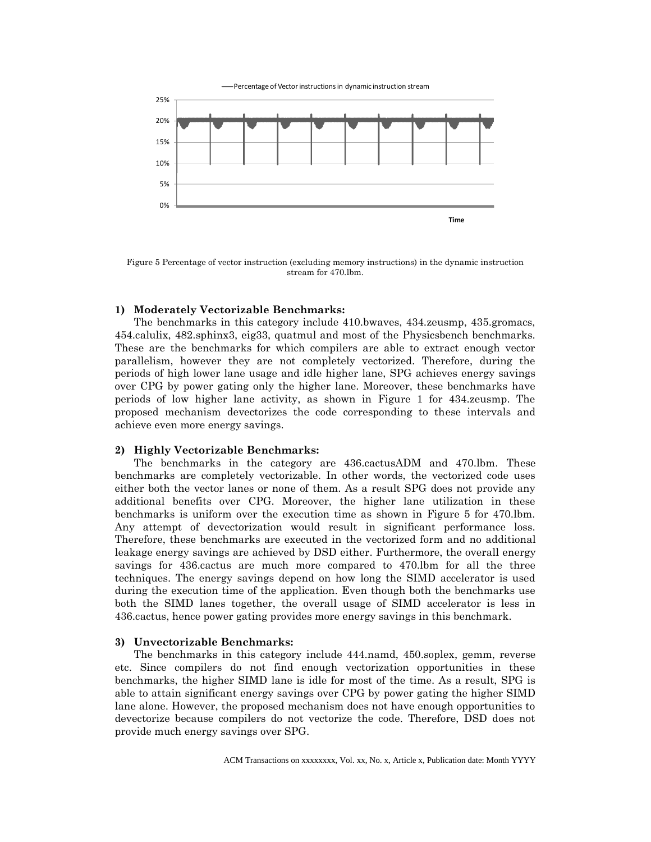

Figure 5 Percentage of vector instruction (excluding memory instructions) in the dynamic instruction stream for 470.lbm.

#### **1) Moderately Vectorizable Benchmarks:**

The benchmarks in this category include 410.bwaves, 434.zeusmp, 435.gromacs, 454.calulix, 482.sphinx3, eig33, quatmul and most of the Physicsbench benchmarks. These are the benchmarks for which compilers are able to extract enough vector parallelism, however they are not completely vectorized. Therefore, during the periods of high lower lane usage and idle higher lane, SPG achieves energy savings over CPG by power gating only the higher lane. Moreover, these benchmarks have periods of low higher lane activity, as shown in Figure 1 for 434.zeusmp. The proposed mechanism devectorizes the code corresponding to these intervals and achieve even more energy savings.

#### **2) Highly Vectorizable Benchmarks:**

The benchmarks in the category are 436.cactusADM and 470.lbm. These benchmarks are completely vectorizable. In other words, the vectorized code uses either both the vector lanes or none of them. As a result SPG does not provide any additional benefits over CPG. Moreover, the higher lane utilization in these benchmarks is uniform over the execution time as shown in Figure 5 for 470.lbm. Any attempt of devectorization would result in significant performance loss. Therefore, these benchmarks are executed in the vectorized form and no additional leakage energy savings are achieved by DSD either. Furthermore, the overall energy savings for 436.cactus are much more compared to 470.lbm for all the three techniques. The energy savings depend on how long the SIMD accelerator is used during the execution time of the application. Even though both the benchmarks use both the SIMD lanes together, the overall usage of SIMD accelerator is less in 436.cactus, hence power gating provides more energy savings in this benchmark.

#### **3) Unvectorizable Benchmarks:**

The benchmarks in this category include 444.namd, 450.soplex, gemm, reverse etc. Since compilers do not find enough vectorization opportunities in these benchmarks, the higher SIMD lane is idle for most of the time. As a result, SPG is able to attain significant energy savings over CPG by power gating the higher SIMD lane alone. However, the proposed mechanism does not have enough opportunities to devectorize because compilers do not vectorize the code. Therefore, DSD does not provide much energy savings over SPG.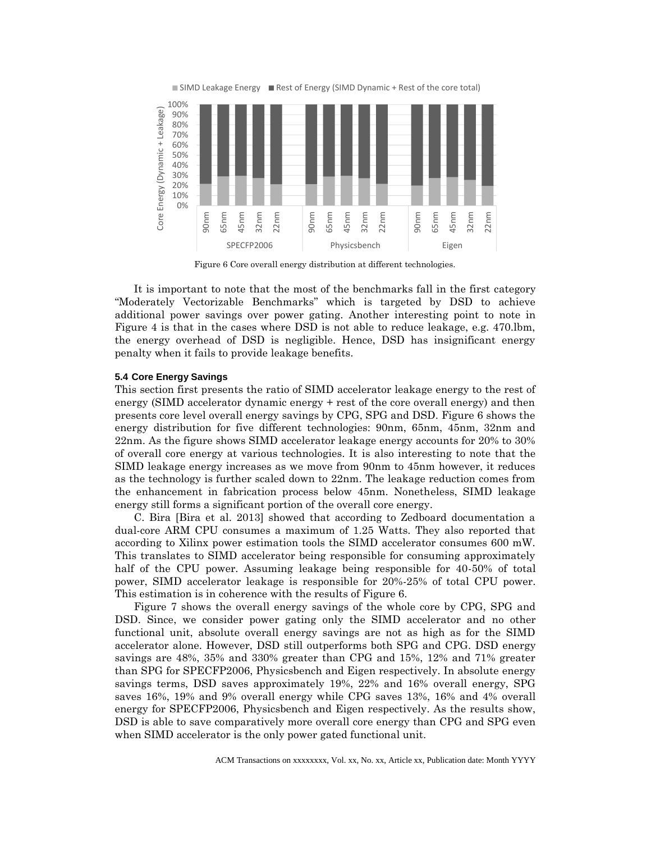

Figure 6 Core overall energy distribution at different technologies.

It is important to note that the most of the benchmarks fall in the first category "Moderately Vectorizable Benchmarks" which is targeted by DSD to achieve additional power savings over power gating. Another interesting point to note in Figure 4 is that in the cases where DSD is not able to reduce leakage, e.g. 470.lbm, the energy overhead of DSD is negligible. Hence, DSD has insignificant energy penalty when it fails to provide leakage benefits.

#### **5.4 Core Energy Savings**

This section first presents the ratio of SIMD accelerator leakage energy to the rest of energy (SIMD accelerator dynamic energy + rest of the core overall energy) and then presents core level overall energy savings by CPG, SPG and DSD. Figure 6 shows the energy distribution for five different technologies: 90nm, 65nm, 45nm, 32nm and 22nm. As the figure shows SIMD accelerator leakage energy accounts for 20% to 30% of overall core energy at various technologies. It is also interesting to note that the SIMD leakage energy increases as we move from 90nm to 45nm however, it reduces as the technology is further scaled down to 22nm. The leakage reduction comes from the enhancement in fabrication process below 45nm. Nonetheless, SIMD leakage energy still forms a significant portion of the overall core energy.

C. Bira [Bira et al. 2013] showed that according to Zedboard documentation a dual-core ARM CPU consumes a maximum of 1.25 Watts. They also reported that according to Xilinx power estimation tools the SIMD accelerator consumes 600 mW. This translates to SIMD accelerator being responsible for consuming approximately half of the CPU power. Assuming leakage being responsible for 40-50% of total power, SIMD accelerator leakage is responsible for 20%-25% of total CPU power. This estimation is in coherence with the results of Figure 6.

Figure 7 shows the overall energy savings of the whole core by CPG, SPG and DSD. Since, we consider power gating only the SIMD accelerator and no other functional unit, absolute overall energy savings are not as high as for the SIMD accelerator alone. However, DSD still outperforms both SPG and CPG. DSD energy savings are 48%, 35% and 330% greater than CPG and 15%, 12% and 71% greater than SPG for SPECFP2006, Physicsbench and Eigen respectively. In absolute energy savings terms, DSD saves approximately 19%, 22% and 16% overall energy, SPG saves 16%, 19% and 9% overall energy while CPG saves 13%, 16% and 4% overall energy for SPECFP2006, Physicsbench and Eigen respectively. As the results show, DSD is able to save comparatively more overall core energy than CPG and SPG even when SIMD accelerator is the only power gated functional unit.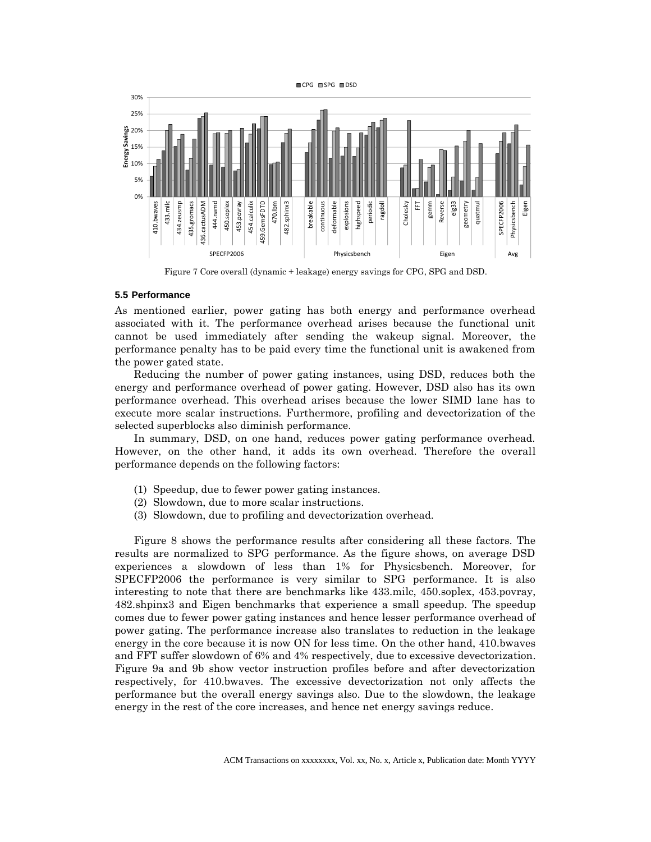

Figure 7 Core overall (dynamic + leakage) energy savings for CPG, SPG and DSD.

#### **5.5 Performance**

As mentioned earlier, power gating has both energy and performance overhead associated with it. The performance overhead arises because the functional unit cannot be used immediately after sending the wakeup signal. Moreover, the performance penalty has to be paid every time the functional unit is awakened from the power gated state.

Reducing the number of power gating instances, using DSD, reduces both the energy and performance overhead of power gating. However, DSD also has its own performance overhead. This overhead arises because the lower SIMD lane has to execute more scalar instructions. Furthermore, profiling and devectorization of the selected superblocks also diminish performance.

In summary, DSD, on one hand, reduces power gating performance overhead. However, on the other hand, it adds its own overhead. Therefore the overall performance depends on the following factors:

- (1) Speedup, due to fewer power gating instances.
- (2) Slowdown, due to more scalar instructions.
- (3) Slowdown, due to profiling and devectorization overhead.

Figure 8 shows the performance results after considering all these factors. The results are normalized to SPG performance. As the figure shows, on average DSD experiences a slowdown of less than 1% for Physicsbench. Moreover, for SPECFP2006 the performance is very similar to SPG performance. It is also interesting to note that there are benchmarks like 433.milc, 450.soplex, 453.povray, 482.shpinx3 and Eigen benchmarks that experience a small speedup. The speedup comes due to fewer power gating instances and hence lesser performance overhead of power gating. The performance increase also translates to reduction in the leakage energy in the core because it is now ON for less time. On the other hand, 410.bwaves and FFT suffer slowdown of 6% and 4% respectively, due to excessive devectorization. Figure 9a and 9b show vector instruction profiles before and after devectorization respectively, for 410.bwaves. The excessive devectorization not only affects the performance but the overall energy savings also. Due to the slowdown, the leakage energy in the rest of the core increases, and hence net energy savings reduce.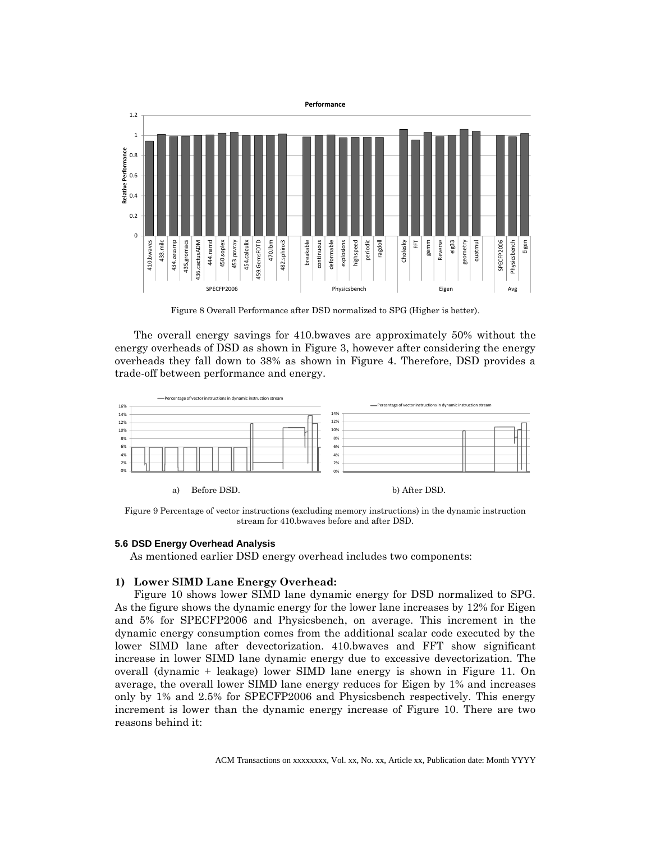

Figure 8 Overall Performance after DSD normalized to SPG (Higher is better).

The overall energy savings for 410.bwaves are approximately 50% without the energy overheads of DSD as shown in Figure 3, however after considering the energy overheads they fall down to 38% as shown in Figure 4. Therefore, DSD provides a trade-off between performance and energy.



Figure 9 Percentage of vector instructions (excluding memory instructions) in the dynamic instruction stream for 410.bwaves before and after DSD.

### **5.6 DSD Energy Overhead Analysis**

As mentioned earlier DSD energy overhead includes two components:

# **1) Lower SIMD Lane Energy Overhead:**

Figure 10 shows lower SIMD lane dynamic energy for DSD normalized to SPG. As the figure shows the dynamic energy for the lower lane increases by 12% for Eigen and 5% for SPECFP2006 and Physicsbench, on average. This increment in the dynamic energy consumption comes from the additional scalar code executed by the lower SIMD lane after devectorization. 410.bwaves and FFT show significant increase in lower SIMD lane dynamic energy due to excessive devectorization. The overall (dynamic + leakage) lower SIMD lane energy is shown in Figure 11. On average, the overall lower SIMD lane energy reduces for Eigen by 1% and increases only by 1% and 2.5% for SPECFP2006 and Physicsbench respectively. This energy increment is lower than the dynamic energy increase of Figure 10. There are two reasons behind it: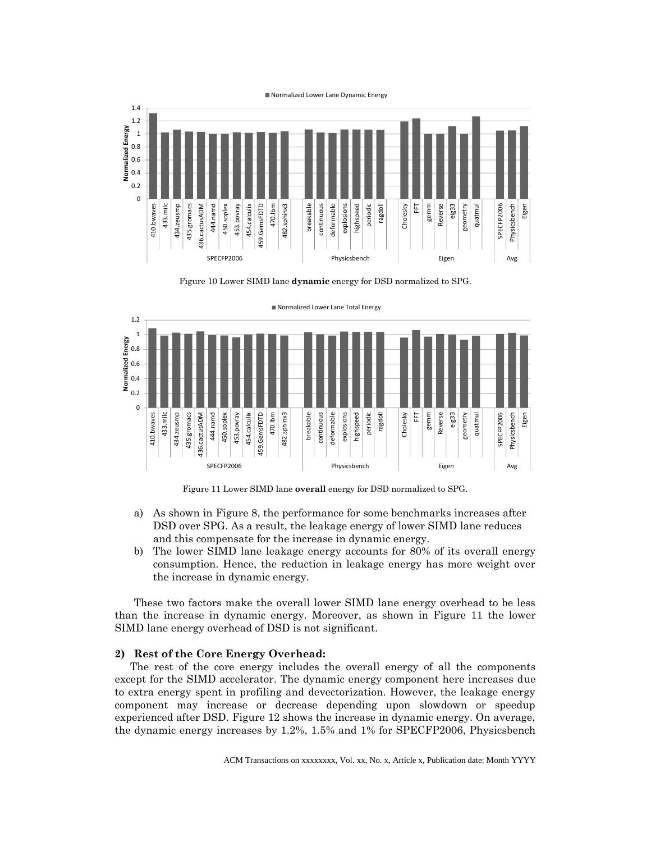

Figure 10 Lower SIMD lane **dynamic** energy for DSD normalized to SPG.



■ Normalized Lower Lane Total Energy

Figure 11 Lower SIMD lane **overall** energy for DSD normalized to SPG.

- a) As shown in Figure 8, the performance for some benchmarks increases after DSD over SPG. As a result, the leakage energy of lower SIMD lane reduces and this compensate for the increase in dynamic energy.
- b) The lower SIMD lane leakage energy accounts for 80% of its overall energy consumption. Hence, the reduction in leakage energy has more weight over the increase in dynamic energy.

These two factors make the overall lower SIMD lane energy overhead to be less than the increase in dynamic energy. Moreover, as shown in Figure 11 the lower SIMD lane energy overhead of DSD is not significant.

#### **2) Rest of the Core Energy Overhead:**

The rest of the core energy includes the overall energy of all the components except for the SIMD accelerator. The dynamic energy component here increases due to extra energy spent in profiling and devectorization. However, the leakage energy component may increase or decrease depending upon slowdown or speedup experienced after DSD. Figure 12 shows the increase in dynamic energy. On average, the dynamic energy increases by 1.2%, 1.5% and 1% for SPECFP2006, Physicsbench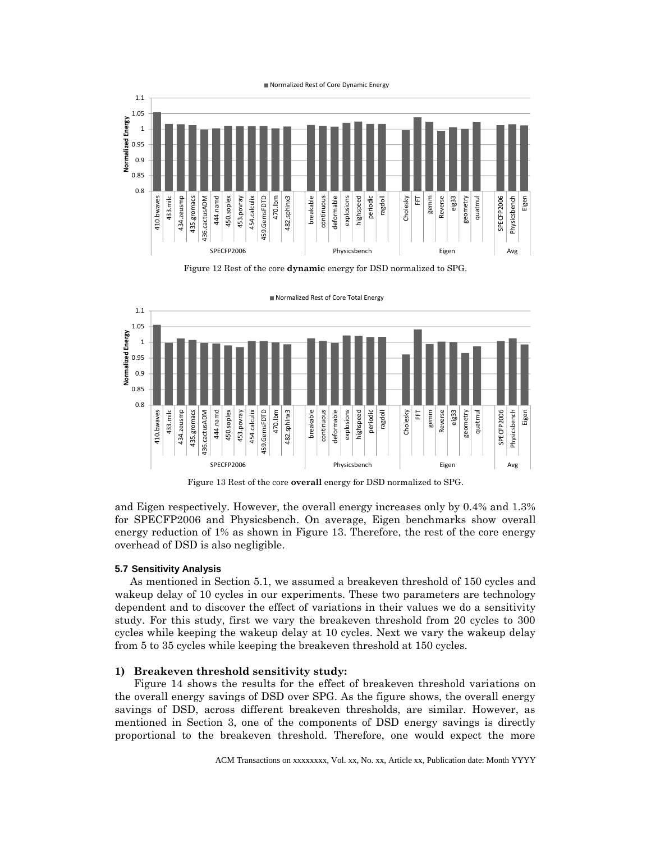

Figure 12 Rest of the core **dynamic** energy for DSD normalized to SPG.



■ Normalized Rest of Core Total Energy

Figure 13 Rest of the core **overall** energy for DSD normalized to SPG.

and Eigen respectively. However, the overall energy increases only by 0.4% and 1.3% for SPECFP2006 and Physicsbench. On average, Eigen benchmarks show overall energy reduction of 1% as shown in Figure 13. Therefore, the rest of the core energy overhead of DSD is also negligible.

#### **5.7 Sensitivity Analysis**

As mentioned in Section 5.1, we assumed a breakeven threshold of 150 cycles and wakeup delay of 10 cycles in our experiments. These two parameters are technology dependent and to discover the effect of variations in their values we do a sensitivity study. For this study, first we vary the breakeven threshold from 20 cycles to 300 cycles while keeping the wakeup delay at 10 cycles. Next we vary the wakeup delay from 5 to 35 cycles while keeping the breakeven threshold at 150 cycles.

#### **1) Breakeven threshold sensitivity study:**

Figure 14 shows the results for the effect of breakeven threshold variations on the overall energy savings of DSD over SPG. As the figure shows, the overall energy savings of DSD, across different breakeven thresholds, are similar. However, as mentioned in Section 3, one of the components of DSD energy savings is directly proportional to the breakeven threshold. Therefore, one would expect the more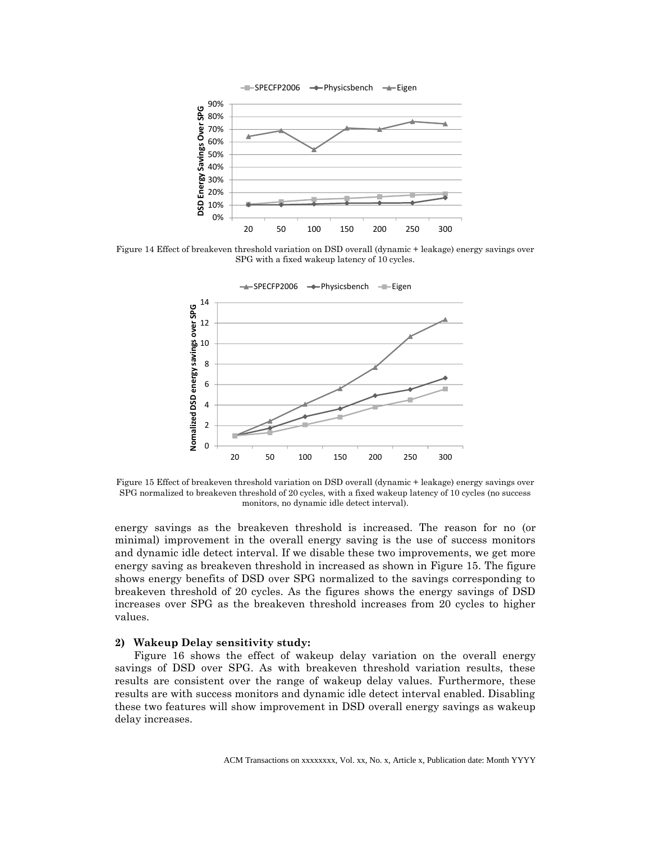

Figure 14 Effect of breakeven threshold variation on DSD overall (dynamic + leakage) energy savings over SPG with a fixed wakeup latency of 10 cycles.



Figure 15 Effect of breakeven threshold variation on DSD overall (dynamic + leakage) energy savings over SPG normalized to breakeven threshold of 20 cycles, with a fixed wakeup latency of 10 cycles (no success monitors, no dynamic idle detect interval).

energy savings as the breakeven threshold is increased. The reason for no (or minimal) improvement in the overall energy saving is the use of success monitors and dynamic idle detect interval. If we disable these two improvements, we get more energy saving as breakeven threshold in increased as shown in Figure 15. The figure shows energy benefits of DSD over SPG normalized to the savings corresponding to breakeven threshold of 20 cycles. As the figures shows the energy savings of DSD increases over SPG as the breakeven threshold increases from 20 cycles to higher values.

#### **2) Wakeup Delay sensitivity study:**

Figure 16 shows the effect of wakeup delay variation on the overall energy savings of DSD over SPG. As with breakeven threshold variation results, these results are consistent over the range of wakeup delay values. Furthermore, these results are with success monitors and dynamic idle detect interval enabled. Disabling these two features will show improvement in DSD overall energy savings as wakeup delay increases.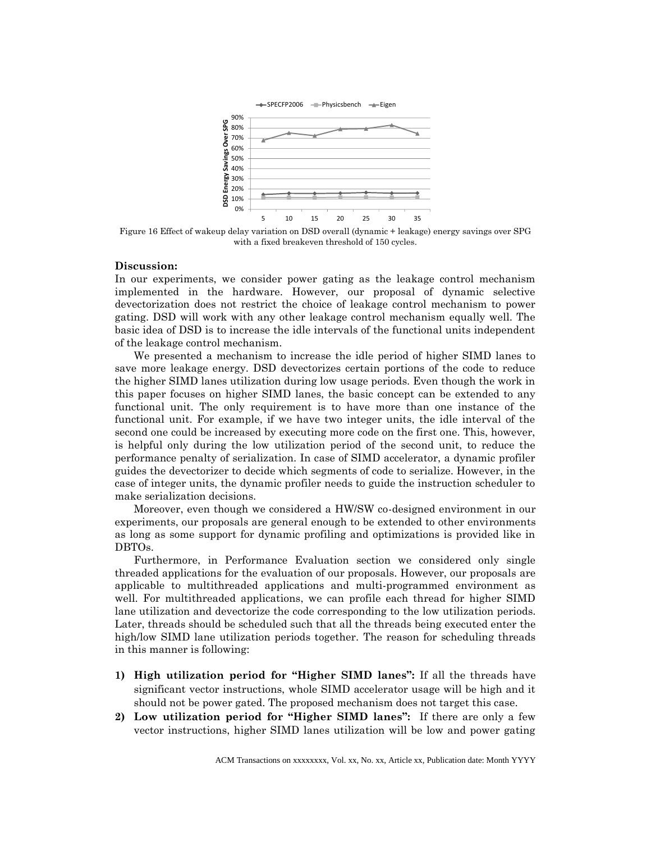

Figure 16 Effect of wakeup delay variation on DSD overall (dynamic + leakage) energy savings over SPG with a fixed breakeven threshold of 150 cycles.

#### **Discussion:**

In our experiments, we consider power gating as the leakage control mechanism implemented in the hardware. However, our proposal of dynamic selective devectorization does not restrict the choice of leakage control mechanism to power gating. DSD will work with any other leakage control mechanism equally well. The basic idea of DSD is to increase the idle intervals of the functional units independent of the leakage control mechanism.

We presented a mechanism to increase the idle period of higher SIMD lanes to save more leakage energy. DSD devectorizes certain portions of the code to reduce the higher SIMD lanes utilization during low usage periods. Even though the work in this paper focuses on higher SIMD lanes, the basic concept can be extended to any functional unit. The only requirement is to have more than one instance of the functional unit. For example, if we have two integer units, the idle interval of the second one could be increased by executing more code on the first one. This, however, is helpful only during the low utilization period of the second unit, to reduce the performance penalty of serialization. In case of SIMD accelerator, a dynamic profiler guides the devectorizer to decide which segments of code to serialize. However, in the case of integer units, the dynamic profiler needs to guide the instruction scheduler to make serialization decisions.

Moreover, even though we considered a HW/SW co-designed environment in our experiments, our proposals are general enough to be extended to other environments as long as some support for dynamic profiling and optimizations is provided like in DBTOs.

Furthermore, in Performance Evaluation section we considered only single threaded applications for the evaluation of our proposals. However, our proposals are applicable to multithreaded applications and multi-programmed environment as well. For multithreaded applications, we can profile each thread for higher SIMD lane utilization and devectorize the code corresponding to the low utilization periods. Later, threads should be scheduled such that all the threads being executed enter the high/low SIMD lane utilization periods together. The reason for scheduling threads in this manner is following:

- **1) High utilization period for "Higher SIMD lanes":** If all the threads have significant vector instructions, whole SIMD accelerator usage will be high and it should not be power gated. The proposed mechanism does not target this case.
- **2) Low utilization period for "Higher SIMD lanes":** If there are only a few vector instructions, higher SIMD lanes utilization will be low and power gating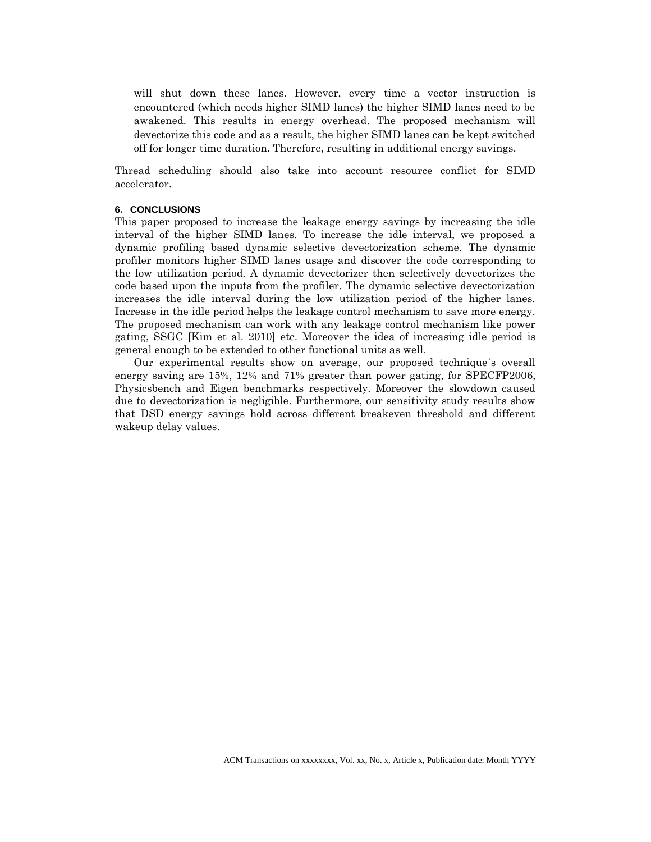will shut down these lanes. However, every time a vector instruction is encountered (which needs higher SIMD lanes) the higher SIMD lanes need to be awakened. This results in energy overhead. The proposed mechanism will devectorize this code and as a result, the higher SIMD lanes can be kept switched off for longer time duration. Therefore, resulting in additional energy savings.

Thread scheduling should also take into account resource conflict for SIMD accelerator.

#### **6. CONCLUSIONS**

This paper proposed to increase the leakage energy savings by increasing the idle interval of the higher SIMD lanes. To increase the idle interval, we proposed a dynamic profiling based dynamic selective devectorization scheme. The dynamic profiler monitors higher SIMD lanes usage and discover the code corresponding to the low utilization period. A dynamic devectorizer then selectively devectorizes the code based upon the inputs from the profiler. The dynamic selective devectorization increases the idle interval during the low utilization period of the higher lanes. Increase in the idle period helps the leakage control mechanism to save more energy. The proposed mechanism can work with any leakage control mechanism like power gating, SSGC [Kim et al. 2010] etc. Moreover the idea of increasing idle period is general enough to be extended to other functional units as well.

Our experimental results show on average, our proposed technique´s overall energy saving are 15%, 12% and 71% greater than power gating, for SPECFP2006, Physicsbench and Eigen benchmarks respectively. Moreover the slowdown caused due to devectorization is negligible. Furthermore, our sensitivity study results show that DSD energy savings hold across different breakeven threshold and different wakeup delay values.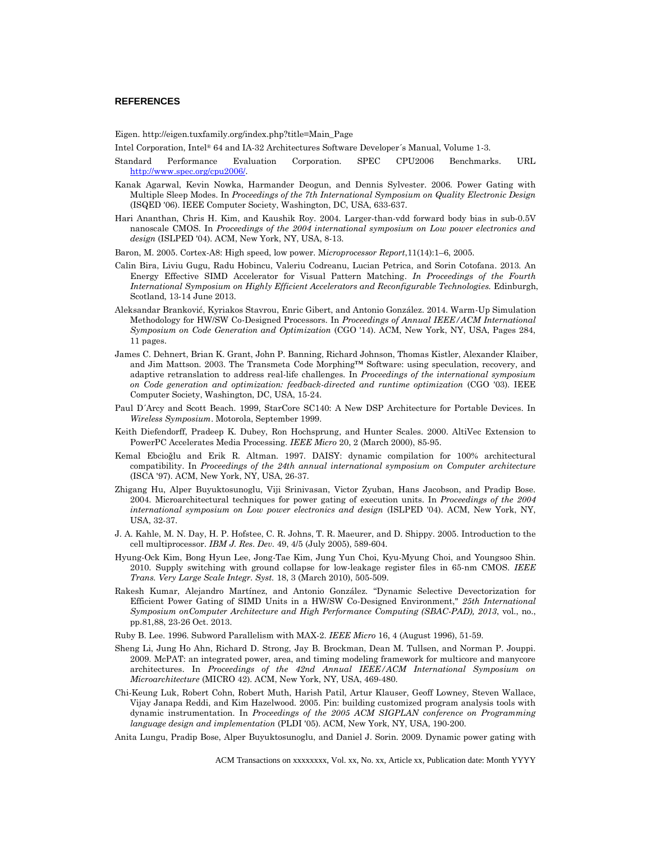#### **REFERENCES**

Eigen. http://eigen.tuxfamily.org/index.php?title=Main\_Page

Intel Corporation, Intel® 64 and IA-32 Architectures Software Developer´s Manual, Volume 1-3.

- Standard Performance Evaluation Corporation. SPEC CPU2006 Benchmarks. URL [http://www.spec.org/cpu2006/.](http://www.spec.org/cpu2006/)
- Kanak Agarwal, Kevin Nowka, Harmander Deogun, and Dennis Sylvester. 2006. Power Gating with Multiple Sleep Modes. In *Proceedings of the 7th International Symposium on Quality Electronic Design* (ISQED '06). IEEE Computer Society, Washington, DC, USA, 633-637.
- Hari Ananthan, Chris H. Kim, and Kaushik Roy. 2004. Larger-than-vdd forward body bias in sub-0.5V nanoscale CMOS. In *Proceedings of the 2004 international symposium on Low power electronics and design* (ISLPED '04). ACM, New York, NY, USA, 8-13.
- Baron, M. 2005. Cortex-A8: High speed, low power. M*icroprocessor Report*,11(14):1–6, 2005.
- Calin Bira, Liviu Gugu, Radu Hobincu, Valeriu Codreanu, Lucian Petrica, and Sorin Cotofana. 2013*.* An Energy Effective SIMD Accelerator for Visual Pattern Matching. *In Proceedings of the Fourth International Symposium on Highly Efficient Accelerators and Reconfigurable Technologies.* Edinburgh, Scotland, 13-14 June 2013.
- Aleksandar Branković, Kyriakos Stavrou, Enric Gibert, and Antonio González. 2014. Warm-Up Simulation Methodology for HW/SW Co-Designed Processors. In *Proceedings of Annual IEEE/ACM International Symposium on Code Generation and Optimization* (CGO '14). ACM, New York, NY, USA, Pages 284, 11 pages.
- James C. Dehnert, Brian K. Grant, John P. Banning, Richard Johnson, Thomas Kistler, Alexander Klaiber, and Jim Mattson. 2003. The Transmeta Code Morphing™ Software: using speculation, recovery, and adaptive retranslation to address real-life challenges. In *Proceedings of the international symposium on Code generation and optimization: feedback-directed and runtime optimization* (CGO '03). IEEE Computer Society, Washington, DC, USA, 15-24.
- Paul D´Arcy and Scott Beach. 1999, StarCore SC140: A New DSP Architecture for Portable Devices. In *Wireless Symposium*. Motorola, September 1999.
- Keith Diefendorff, Pradeep K. Dubey, Ron Hochsprung, and Hunter Scales. 2000. AltiVec Extension to PowerPC Accelerates Media Processing. *IEEE Micro* 20, 2 (March 2000), 85-95.
- Kemal Ebcioğlu and Erik R. Altman. 1997. DAISY: dynamic compilation for 100% architectural compatibility. In *Proceedings of the 24th annual international symposium on Computer architecture* (ISCA '97). ACM, New York, NY, USA, 26-37.
- Zhigang Hu, Alper Buyuktosunoglu, Viji Srinivasan, Victor Zyuban, Hans Jacobson, and Pradip Bose. 2004. Microarchitectural techniques for power gating of execution units. In *Proceedings of the 2004 international symposium on Low power electronics and design* (ISLPED '04). ACM, New York, NY, USA, 32-37.
- J. A. Kahle, M. N. Day, H. P. Hofstee, C. R. Johns, T. R. Maeurer, and D. Shippy. 2005. Introduction to the cell multiprocessor. *IBM J. Res. Dev.* 49, 4/5 (July 2005), 589-604.
- Hyung-Ock Kim, Bong Hyun Lee, Jong-Tae Kim, Jung Yun Choi, Kyu-Myung Choi, and Youngsoo Shin. 2010. Supply switching with ground collapse for low-leakage register files in 65-nm CMOS. *IEEE Trans. Very Large Scale Integr. Syst.* 18, 3 (March 2010), 505-509.
- Rakesh Kumar, Alejandro Martínez, and Antonio González. "Dynamic Selective Devectorization for Efficient Power Gating of SIMD Units in a HW/SW Co-Designed Environment," *25th International Symposium onComputer Architecture and High Performance Computing (SBAC-PAD), 2013*, vol., no., pp.81,88, 23-26 Oct. 2013.
- Ruby B. Lee. 1996. Subword Parallelism with MAX-2. *IEEE Micro* 16, 4 (August 1996), 51-59.
- Sheng Li, Jung Ho Ahn, Richard D. Strong, Jay B. Brockman, Dean M. Tullsen, and Norman P. Jouppi. 2009. McPAT: an integrated power, area, and timing modeling framework for multicore and manycore architectures. In *Proceedings of the 42nd Annual IEEE/ACM International Symposium on Microarchitecture* (MICRO 42). ACM, New York, NY, USA, 469-480.
- Chi-Keung Luk, Robert Cohn, Robert Muth, Harish Patil, Artur Klauser, Geoff Lowney, Steven Wallace, Vijay Janapa Reddi, and Kim Hazelwood. 2005. Pin: building customized program analysis tools with dynamic instrumentation. In *Proceedings of the 2005 ACM SIGPLAN conference on Programming language design and implementation* (PLDI '05). ACM, New York, NY, USA, 190-200.

Anita Lungu, Pradip Bose, Alper Buyuktosunoglu, and Daniel J. Sorin. 2009. Dynamic power gating with

ACM Transactions on xxxxxxxx, Vol. xx, No. xx, Article xx, Publication date: Month YYYY